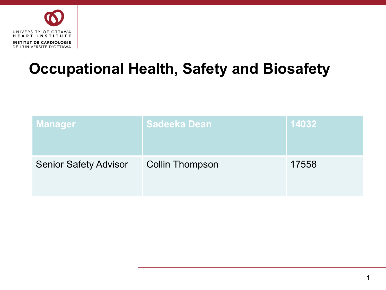

## **Occupational Health, Safety and Biosafety**

| <b>Manager</b>               | <b>Sadeeka Dean</b>    | 14032 |
|------------------------------|------------------------|-------|
| <b>Senior Safety Advisor</b> | <b>Collin Thompson</b> | 17558 |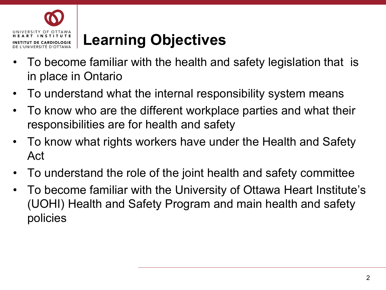

## **Learning Objectives**

- To become familiar with the health and safety legislation that is in place in Ontario
- To understand what the internal responsibility system means
- To know who are the different workplace parties and what their responsibilities are for health and safety
- To know what rights workers have under the Health and Safety Act
- To understand the role of the joint health and safety committee
- To become familiar with the University of Ottawa Heart Institute's (UOHI) Health and Safety Program and main health and safety policies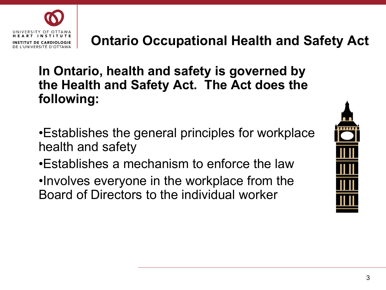

### **Ontario Occupational Health and Safety Act**

**In Ontario, health and safety is governed by the Health and Safety Act. The Act does the following:**

- •Establishes the general principles for workplace health and safety
- •Establishes a mechanism to enforce the law
- •Involves everyone in the workplace from the Board of Directors to the individual worker

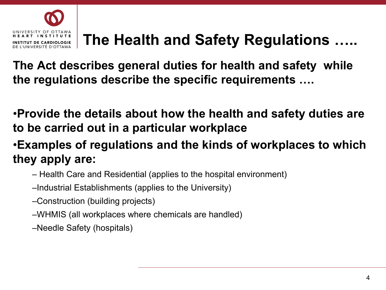

## **The Health and Safety Regulations …..**

**The Act describes general duties for health and safety while the regulations describe the specific requirements ….**

•**Provide the details about how the health and safety duties are to be carried out in a particular workplace**

•**Examples of regulations and the kinds of workplaces to which they apply are:**

- Health Care and Residential (applies to the hospital environment)
- –Industrial Establishments (applies to the University)
- –Construction (building projects)
- –WHMIS (all workplaces where chemicals are handled)
- –Needle Safety (hospitals)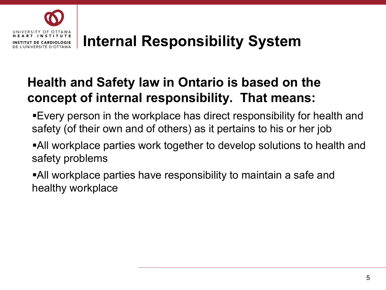

### **Internal Responsibility System**

### **Health and Safety law in Ontario is based on the concept of internal responsibility. That means:**

- Every person in the workplace has direct responsibility for health and safety (of their own and of others) as it pertains to his or her job
- All workplace parties work together to develop solutions to health and safety problems
- All workplace parties have responsibility to maintain a safe and healthy workplace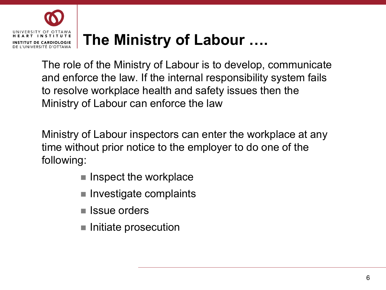

## **The Ministry of Labour ….**

The role of the Ministry of Labour is to develop, communicate and enforce the law. If the internal responsibility system fails to resolve workplace health and safety issues then the Ministry of Labour can enforce the law

Ministry of Labour inspectors can enter the workplace at any time without prior notice to the employer to do one of the following:

- $\blacksquare$  Inspect the workplace
- **Investigate complaints**
- Issue orders
- Initiate prosecution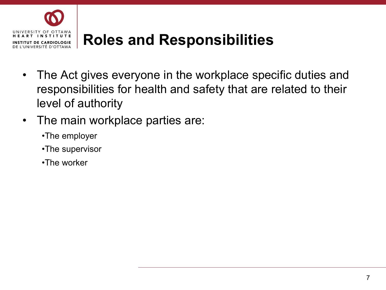

## **Roles and Responsibilities**

- The Act gives everyone in the workplace specific duties and responsibilities for health and safety that are related to their level of authority
- The main workplace parties are:
	- •The employer
	- •The supervisor
	- •The worker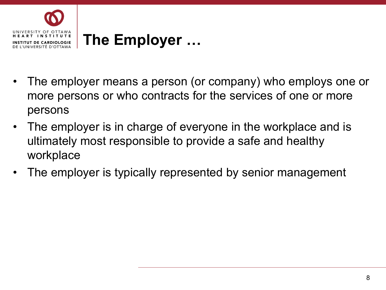

- The employer means a person (or company) who employs one or more persons or who contracts for the services of one or more persons
- The employer is in charge of everyone in the workplace and is ultimately most responsible to provide a safe and healthy workplace
- The employer is typically represented by senior management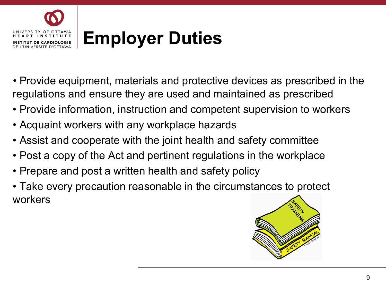

- Provide equipment, materials and protective devices as prescribed in the regulations and ensure they are used and maintained as prescribed
- Provide information, instruction and competent supervision to workers
- Acquaint workers with any workplace hazards
- Assist and cooperate with the joint health and safety committee
- Post a copy of the Act and pertinent regulations in the workplace
- Prepare and post a written health and safety policy
- Take every precaution reasonable in the circumstances to protect workers

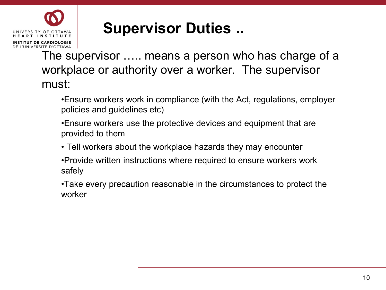

### **Supervisor Duties ..**

The supervisor ….. means a person who has charge of a workplace or authority over a worker. The supervisor must:

•Ensure workers work in compliance (with the Act, regulations, employer policies and guidelines etc)

- •Ensure workers use the protective devices and equipment that are provided to them
- Tell workers about the workplace hazards they may encounter
- •Provide written instructions where required to ensure workers work safely

•Take every precaution reasonable in the circumstances to protect the worker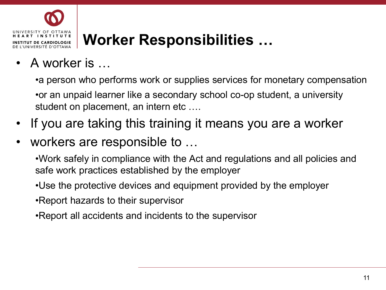

## **Worker Responsibilities …**

### • A worker is …

•a person who performs work or supplies services for monetary compensation •or an unpaid learner like a secondary school co-op student, a university student on placement, an intern etc ….

- If you are taking this training it means you are a worker
- workers are responsible to ...

•Work safely in compliance with the Act and regulations and all policies and safe work practices established by the employer

- •Use the protective devices and equipment provided by the employer
- •Report hazards to their supervisor
- •Report all accidents and incidents to the supervisor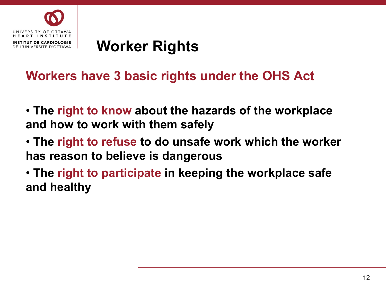

### **Worker Rights**

### **Workers have 3 basic rights under the OHS Act**

- **The right to know about the hazards of the workplace and how to work with them safely**
- **The right to refuse to do unsafe work which the worker has reason to believe is dangerous**
- **The right to participate in keeping the workplace safe and healthy**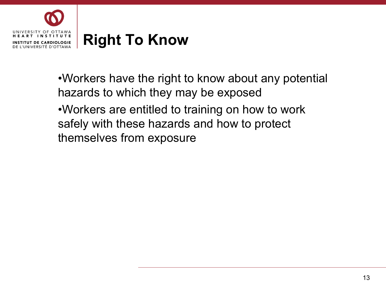

•Workers have the right to know about any potential hazards to which they may be exposed

•Workers are entitled to training on how to work safely with these hazards and how to protect themselves from exposure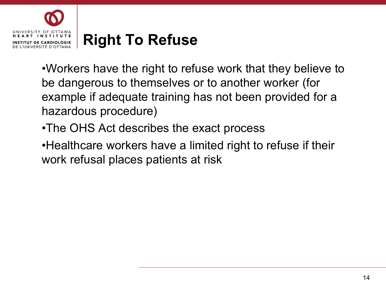

•Workers have the right to refuse work that they believe to be dangerous to themselves or to another worker (for example if adequate training has not been provided for a hazardous procedure)

•The OHS Act describes the exact process

•Healthcare workers have a limited right to refuse if their work refusal places patients at risk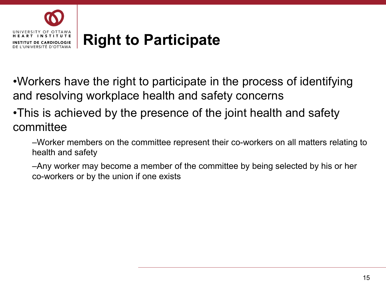

•Workers have the right to participate in the process of identifying and resolving workplace health and safety concerns

### •This is achieved by the presence of the joint health and safety committee

–Worker members on the committee represent their co-workers on all matters relating to health and safety

–Any worker may become a member of the committee by being selected by his or her co-workers or by the union if one exists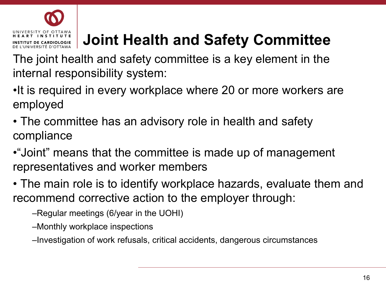#### INIVERSITY OF OTTAWA T INSTITUTE **UT DE CARDIOLOGIE** DE L'UNIVERSITÉ D'OTTAWA

# **Joint Health and Safety Committee**

The joint health and safety committee is a key element in the internal responsibility system:

- •It is required in every workplace where 20 or more workers are employed
- The committee has an advisory role in health and safety compliance
- •"Joint" means that the committee is made up of management representatives and worker members
- The main role is to identify workplace hazards, evaluate them and recommend corrective action to the employer through:
	- –Regular meetings (6/year in the UOHI)
	- –Monthly workplace inspections
	- –Investigation of work refusals, critical accidents, dangerous circumstances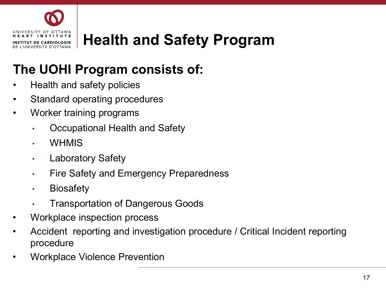

## **Health and Safety Program**

### **The UOHI Program consists of:**

- Health and safety policies
- Standard operating procedures
- Worker training programs
	- Occupational Health and Safety
	- WHMIS
	- Laboratory Safety
	- Fire Safety and Emergency Preparedness
	- Biosafety
	- Transportation of Dangerous Goods
- Workplace inspection process
- Accident reporting and investigation procedure / Critical Incident reporting procedure
- Workplace Violence Prevention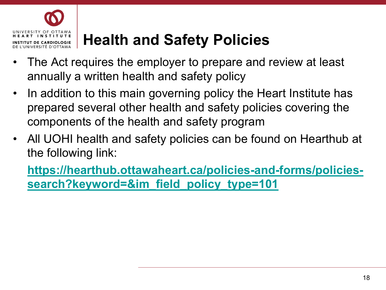

## **Health and Safety Policies**

- The Act requires the employer to prepare and review at least annually a written health and safety policy
- In addition to this main governing policy the Heart Institute has prepared several other health and safety policies covering the components of the health and safety program
- All UOHI health and safety policies can be found on Hearthub at the following link:

**[https://hearthub.ottawaheart.ca/policies-and-forms/policies](https://hearthub.ottawaheart.ca/policies-and-forms/policies-search?keyword=&im_field_policy_type=101)search?keyword=&im\_field\_policy\_type=101**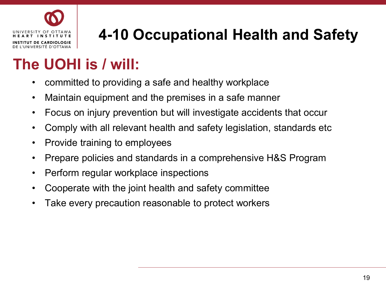

# **4-10 Occupational Health and Safety**

## **The UOHI is / will:**

- committed to providing a safe and healthy workplace
- Maintain equipment and the premises in a safe manner
- Focus on injury prevention but will investigate accidents that occur
- Comply with all relevant health and safety legislation, standards etc
- Provide training to employees
- Prepare policies and standards in a comprehensive H&S Program
- Perform regular workplace inspections
- Cooperate with the joint health and safety committee
- Take every precaution reasonable to protect workers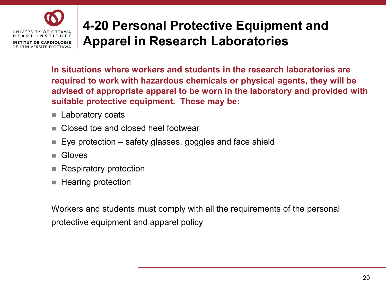#### **4-20 Personal Protective Equipment and**  UNIVERSITY OF OTTAWA HEART INSTITUTE **Apparel in Research Laboratories INSTITUT DE CARDIOLOGIE** DE L'UNIVERSITÉ D'OTTAWA

**In situations where workers and students in the research laboratories are required to work with hazardous chemicals or physical agents, they will be advised of appropriate apparel to be worn in the laboratory and provided with suitable protective equipment. These may be:**

- **Laboratory coats**
- Closed toe and closed heel footwear
- Eye protection safety glasses, goggles and face shield
- Gloves
- Respiratory protection
- Hearing protection

Workers and students must comply with all the requirements of the personal protective equipment and apparel policy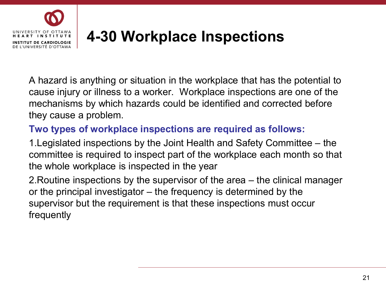

## **4-30 Workplace Inspections**

A hazard is anything or situation in the workplace that has the potential to cause injury or illness to a worker. Workplace inspections are one of the mechanisms by which hazards could be identified and corrected before they cause a problem.

### **Two types of workplace inspections are required as follows:**

1.Legislated inspections by the Joint Health and Safety Committee – the committee is required to inspect part of the workplace each month so that the whole workplace is inspected in the year

2.Routine inspections by the supervisor of the area – the clinical manager or the principal investigator – the frequency is determined by the supervisor but the requirement is that these inspections must occur frequently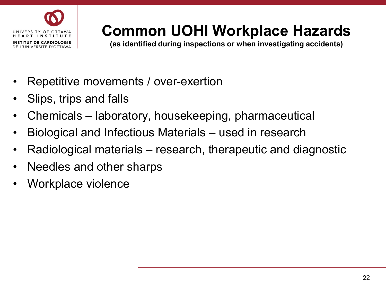

## **Common UOHI Workplace Hazards**

**(as identified during inspections or when investigating accidents)**

- Repetitive movements / over-exertion
- Slips, trips and falls
- Chemicals laboratory, housekeeping, pharmaceutical
- Biological and Infectious Materials used in research
- Radiological materials research, therapeutic and diagnostic
- Needles and other sharps
- Workplace violence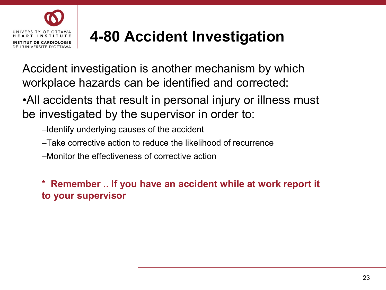

## **4-80 Accident Investigation**

Accident investigation is another mechanism by which workplace hazards can be identified and corrected:

•All accidents that result in personal injury or illness must be investigated by the supervisor in order to:

- –Identify underlying causes of the accident
- –Take corrective action to reduce the likelihood of recurrence
- –Monitor the effectiveness of corrective action

**\* Remember .. If you have an accident while at work report it to your supervisor**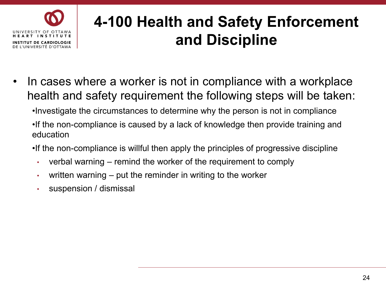

## **4-100 Health and Safety Enforcement and Discipline**

- In cases where a worker is not in compliance with a workplace health and safety requirement the following steps will be taken:
	- •Investigate the circumstances to determine why the person is not in compliance
	- •If the non-compliance is caused by a lack of knowledge then provide training and education
	- •If the non-compliance is willful then apply the principles of progressive discipline
		- verbal warning remind the worker of the requirement to comply
		- written warning put the reminder in writing to the worker
		- suspension / dismissal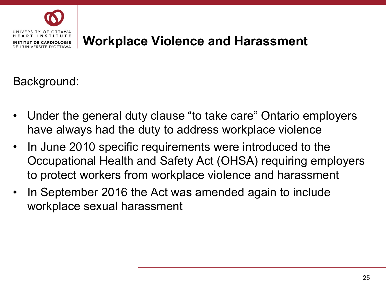

### **Workplace Violence and Harassment**

Background:

- Under the general duty clause "to take care" Ontario employers have always had the duty to address workplace violence
- In June 2010 specific requirements were introduced to the Occupational Health and Safety Act (OHSA) requiring employers to protect workers from workplace violence and harassment
- In September 2016 the Act was amended again to include workplace sexual harassment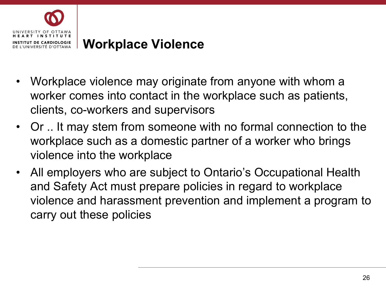

### **Workplace Violence**

- Workplace violence may originate from anyone with whom a worker comes into contact in the workplace such as patients, clients, co-workers and supervisors
- Or .. It may stem from someone with no formal connection to the workplace such as a domestic partner of a worker who brings violence into the workplace
- All employers who are subject to Ontario's Occupational Health and Safety Act must prepare policies in regard to workplace violence and harassment prevention and implement a program to carry out these policies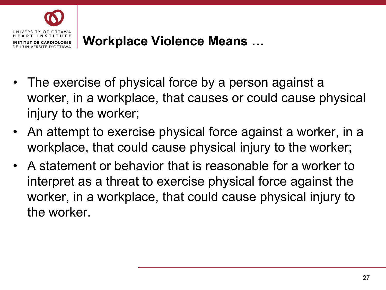

- The exercise of physical force by a person against a worker, in a workplace, that causes or could cause physical injury to the worker;
- An attempt to exercise physical force against a worker, in a workplace, that could cause physical injury to the worker;
- A statement or behavior that is reasonable for a worker to interpret as a threat to exercise physical force against the worker, in a workplace, that could cause physical injury to the worker.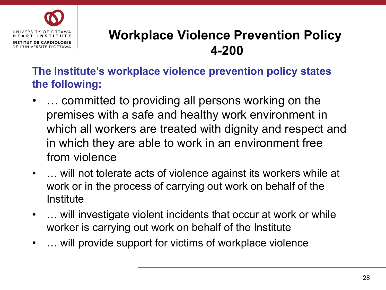

### **Workplace Violence Prevention Policy 4-200**

**The Institute's workplace violence prevention policy states the following:**

- … committed to providing all persons working on the premises with a safe and healthy work environment in which all workers are treated with dignity and respect and in which they are able to work in an environment free from violence
- ... will not tolerate acts of violence against its workers while at work or in the process of carrying out work on behalf of the **Institute**
- ... will investigate violent incidents that occur at work or while worker is carrying out work on behalf of the Institute
- ... will provide support for victims of workplace violence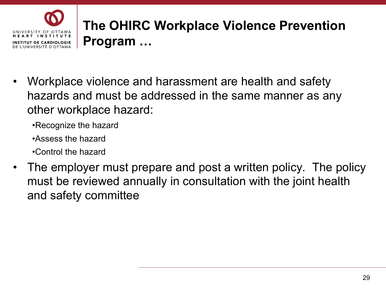

- Workplace violence and harassment are health and safety hazards and must be addressed in the same manner as any other workplace hazard:
	- •Recognize the hazard
	- •Assess the hazard
	- •Control the hazard
- The employer must prepare and post a written policy. The policy must be reviewed annually in consultation with the joint health and safety committee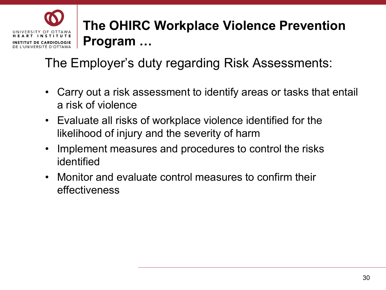The Employer's duty regarding Risk Assessments:

INIVERSITY OF OTTAWA RT INSTITUTE UT DE CARDIOLOGIE DE L'UNIVERSITÉ D'OTTAWA

- Carry out a risk assessment to identify areas or tasks that entail a risk of violence
- Evaluate all risks of workplace violence identified for the likelihood of injury and the severity of harm
- Implement measures and procedures to control the risks identified
- Monitor and evaluate control measures to confirm their effectiveness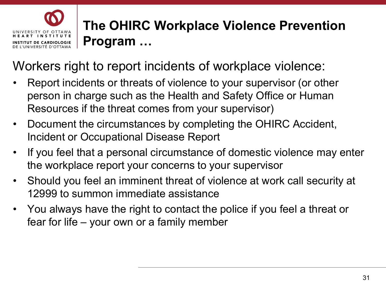

Workers right to report incidents of workplace violence:

- Report incidents or threats of violence to your supervisor (or other person in charge such as the Health and Safety Office or Human Resources if the threat comes from your supervisor)
- Document the circumstances by completing the OHIRC Accident, Incident or Occupational Disease Report
- If you feel that a personal circumstance of domestic violence may enter the workplace report your concerns to your supervisor
- Should you feel an imminent threat of violence at work call security at 12999 to summon immediate assistance
- You always have the right to contact the police if you feel a threat or fear for life – your own or a family member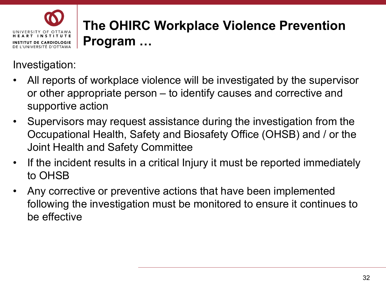

Investigation:

- All reports of workplace violence will be investigated by the supervisor or other appropriate person – to identify causes and corrective and supportive action
- Supervisors may request assistance during the investigation from the Occupational Health, Safety and Biosafety Office (OHSB) and / or the Joint Health and Safety Committee
- If the incident results in a critical Injury it must be reported immediately to OHSB
- Any corrective or preventive actions that have been implemented following the investigation must be monitored to ensure it continues to be effective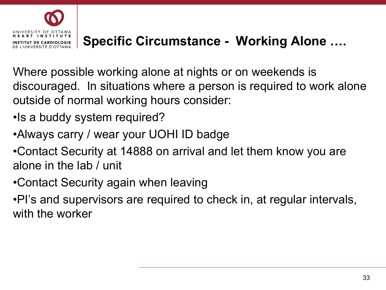

### **Specific Circumstance - Working Alone ….**

Where possible working alone at nights or on weekends is discouraged. In situations where a person is required to work alone outside of normal working hours consider:

- •Is a buddy system required?
- •Always carry / wear your UOHI ID badge
- •Contact Security at 14888 on arrival and let them know you are alone in the lab / unit
- •Contact Security again when leaving

•PI's and supervisors are required to check in, at regular intervals, with the worker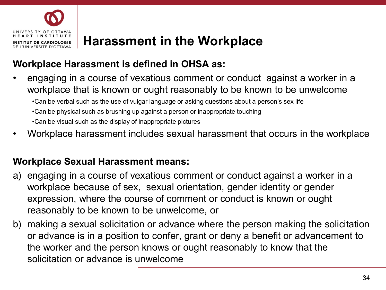

### **Harassment in the Workplace**

### **Workplace Harassment is defined in OHSA as:**

- engaging in a course of vexatious comment or conduct against a worker in a workplace that is known or ought reasonably to be known to be unwelcome •Can be verbal such as the use of vulgar language or asking questions about a person's sex life •Can be physical such as brushing up against a person or inappropriate touching •Can be visual such as the display of inappropriate pictures
- Workplace harassment includes sexual harassment that occurs in the workplace

### **Workplace Sexual Harassment means:**

- a) engaging in a course of vexatious comment or conduct against a worker in a workplace because of sex, sexual orientation, gender identity or gender expression, where the course of comment or conduct is known or ought reasonably to be known to be unwelcome, or
- b) making a sexual solicitation or advance where the person making the solicitation or advance is in a position to confer, grant or deny a benefit or advancement to the worker and the person knows or ought reasonably to know that the solicitation or advance is unwelcome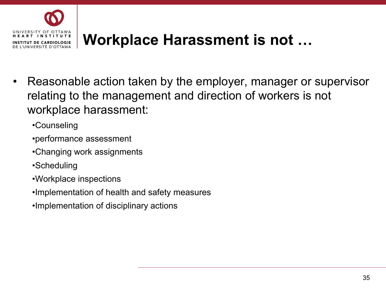

## **Workplace Harassment is not …**

- Reasonable action taken by the employer, manager or supervisor relating to the management and direction of workers is not workplace harassment:
	- •Counseling
	- •performance assessment
	- •Changing work assignments
	- •Scheduling
	- •Workplace inspections
	- •Implementation of health and safety measures
	- •Implementation of disciplinary actions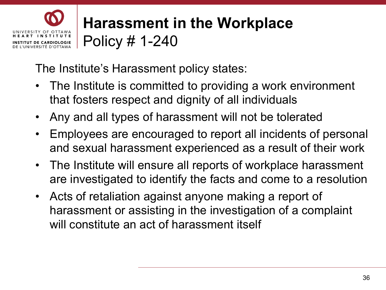

## **Harassment in the Workplace** Policy # 1-240

The Institute's Harassment policy states:

- The Institute is committed to providing a work environment that fosters respect and dignity of all individuals
- Any and all types of harassment will not be tolerated
- Employees are encouraged to report all incidents of personal and sexual harassment experienced as a result of their work
- The Institute will ensure all reports of workplace harassment are investigated to identify the facts and come to a resolution
- Acts of retaliation against anyone making a report of harassment or assisting in the investigation of a complaint will constitute an act of harassment itself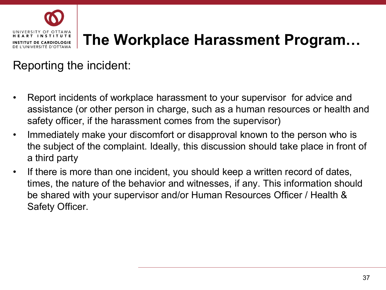

## **The Workplace Harassment Program…**

#### Reporting the incident:

- Report incidents of workplace harassment to your supervisor for advice and assistance (or other person in charge, such as a human resources or health and safety officer, if the harassment comes from the supervisor)
- Immediately make your discomfort or disapproval known to the person who is the subject of the complaint. Ideally, this discussion should take place in front of a third party
- If there is more than one incident, you should keep a written record of dates, times, the nature of the behavior and witnesses, if any. This information should be shared with your supervisor and/or Human Resources Officer / Health & Safety Officer.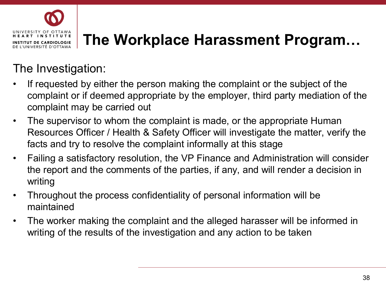

## **The Workplace Harassment Program…**

#### The Investigation:

- If requested by either the person making the complaint or the subject of the complaint or if deemed appropriate by the employer, third party mediation of the complaint may be carried out
- The supervisor to whom the complaint is made, or the appropriate Human Resources Officer / Health & Safety Officer will investigate the matter, verify the facts and try to resolve the complaint informally at this stage
- Failing a satisfactory resolution, the VP Finance and Administration will consider the report and the comments of the parties, if any, and will render a decision in writing
- Throughout the process confidentiality of personal information will be maintained
- The worker making the complaint and the alleged harasser will be informed in writing of the results of the investigation and any action to be taken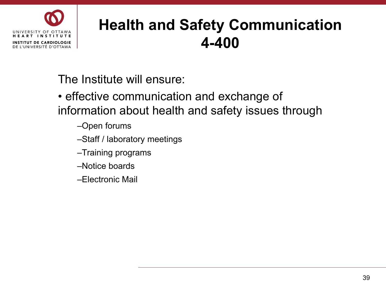

#### **Health and Safety Communication 4-400**

The Institute will ensure:

- effective communication and exchange of information about health and safety issues through
	- –Open forums
	- –Staff / laboratory meetings
	- –Training programs
	- –Notice boards
	- –Electronic Mail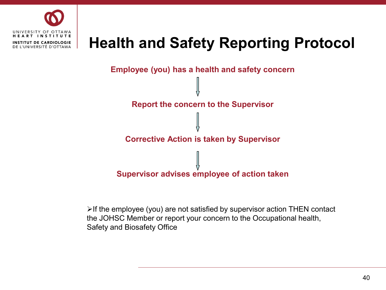

#### **Health and Safety Reporting Protocol**



 $\triangleright$  If the employee (you) are not satisfied by supervisor action THEN contact the JOHSC Member or report your concern to the Occupational health, Safety and Biosafety Office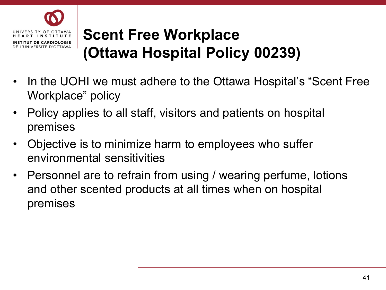

## **Scent Free Workplace (Ottawa Hospital Policy 00239)**

- In the UOHI we must adhere to the Ottawa Hospital's "Scent Free Workplace" policy
- Policy applies to all staff, visitors and patients on hospital premises
- Objective is to minimize harm to employees who suffer environmental sensitivities
- Personnel are to refrain from using / wearing perfume, lotions and other scented products at all times when on hospital premises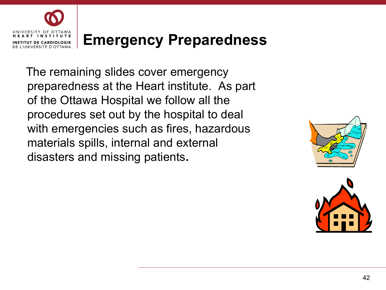

#### **Emergency Preparedness**

The remaining slides cover emergency preparedness at the Heart institute. As part of the Ottawa Hospital we follow all the procedures set out by the hospital to deal with emergencies such as fires, hazardous materials spills, internal and external disasters and missing patients**.**



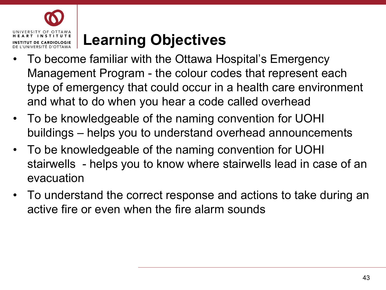

## **Learning Objectives**

- To become familiar with the Ottawa Hospital's Emergency Management Program - the colour codes that represent each type of emergency that could occur in a health care environment and what to do when you hear a code called overhead
- To be knowledgeable of the naming convention for UOHI buildings – helps you to understand overhead announcements
- To be knowledgeable of the naming convention for UOHI stairwells - helps you to know where stairwells lead in case of an evacuation
- To understand the correct response and actions to take during an active fire or even when the fire alarm sounds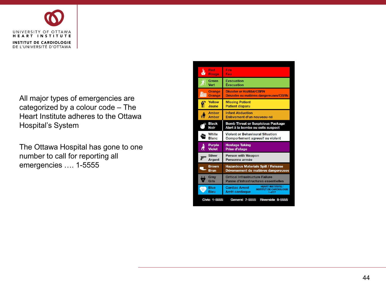

All major types of emergencies are categorized by a colour code – The Heart Institute adheres to the Ottawa Hospital's System

The Ottawa Hospital has gone to one number to call for reporting all emergencies …. 1-5555

| Red                                                              | Fire                                                                                                                 |
|------------------------------------------------------------------|----------------------------------------------------------------------------------------------------------------------|
| Rouge                                                            | Feu                                                                                                                  |
| Green                                                            | Evacuation                                                                                                           |
| Vert                                                             | Évacuation                                                                                                           |
| <b>Orange</b>                                                    | <b>Disaster or HazMat/CBRN</b>                                                                                       |
| <b>Orange</b>                                                    | Désastre ou matières dangereuses/CBRN                                                                                |
| <b>Yellow</b><br>Ñ<br>Jaune                                      | <b>Missing Patient</b><br><b>Patient disparu</b>                                                                     |
| Amber                                                            | <b>Infant Abduction</b>                                                                                              |
| <b>Amber</b>                                                     | Enlèvement d'un nouveau-né                                                                                           |
| <b>Black</b>                                                     | <b>Bomb Threat or Suspicious Package</b>                                                                             |
| <b>Noir</b>                                                      | Alert à la bombe ou colis suspect                                                                                    |
| White                                                            | <b>Violent or Behavioural Situation</b>                                                                              |
| <b>Blanc</b>                                                     | Comportement agressif ou violent                                                                                     |
| <b>Purple</b><br>À<br><b>Violet</b>                              | <b>Hostage Taking</b><br>Prise d'otage                                                                               |
| <b>Silver</b>                                                    | <b>Person with Weapon</b>                                                                                            |
| <b>Argent</b>                                                    | Personne armée                                                                                                       |
| <b>Brown</b>                                                     | <b>Hazardous Materials Spill / Release</b>                                                                           |
| <b>Brun</b>                                                      | Déversement de matières dangereuses                                                                                  |
| Grey                                                             | <b>Critical Infrastructure Failure</b>                                                                               |
| Gris                                                             | Panne d'infrastructures essentielles                                                                                 |
| Blue<br>W.<br><b>Bleu</b>                                        | <b>HEART INSTITUTE /</b><br><b>Cardiac Arrest</b><br><b>INSTITUT DE CARDIOLOGIE</b><br>Arrêt cardiaque<br>$1 - 4777$ |
| Riverside 8-5555<br><b>Civic 1-5555</b><br><b>General 7-5555</b> |                                                                                                                      |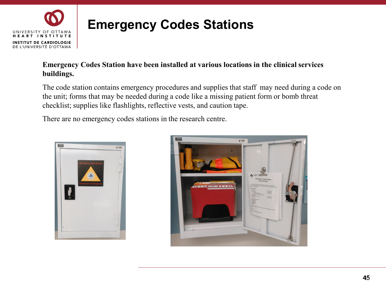

#### **Emergency Codes Station have been installed at various locations in the clinical services buildings.**

The code station contains emergency procedures and supplies that staff may need during a code on the unit; forms that may be needed during a code like a missing patient form or bomb threat checklist; supplies like flashlights, reflective vests, and caution tape.

There are no emergency codes stations in the research centre.



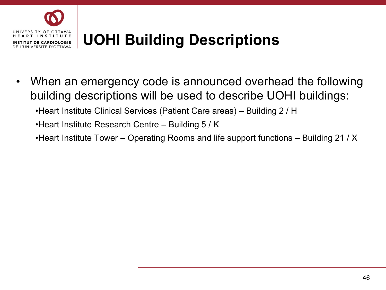

## **UOHI Building Descriptions**

• When an emergency code is announced overhead the following building descriptions will be used to describe UOHI buildings:

•Heart Institute Clinical Services (Patient Care areas) – Building 2 / H

•Heart Institute Research Centre – Building 5 / K

•Heart Institute Tower – Operating Rooms and life support functions – Building 21 / X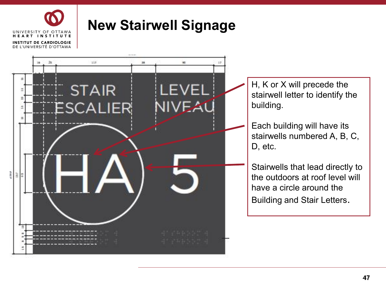

#### **New Stairwell Signage**

star. H, K or X will precede the<br>stairwell letter to identify the<br>building.<br>Each building will have its<br>stairwells numbered A, B, C,<br>D, etc.<br>Stairwells that lead directly to<br>the outdoors at roof level will<br>have a circle around t **STAIR** LEVEL IIVEAL building. ESCALIER D, etc. e<br>G ă,

stairwell letter to identify the

Each building will have its stairwells numbered A, B, C,

Stairwells that lead directly to the outdoors at roof level will have a circle around the Building and Stair Letters.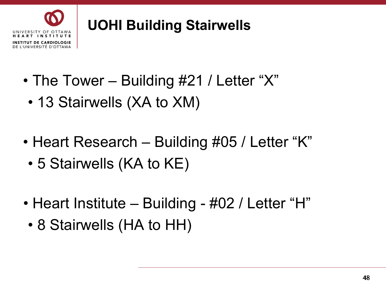

### **UOHI Building Stairwells**

- The Tower Building #21 / Letter "X"
	- 13 Stairwells (XA to XM)
- Heart Research Building #05 / Letter "K"
	- 5 Stairwells (KA to KE)
- Heart Institute Building #02 / Letter "H"
	- 8 Stairwells (HA to HH)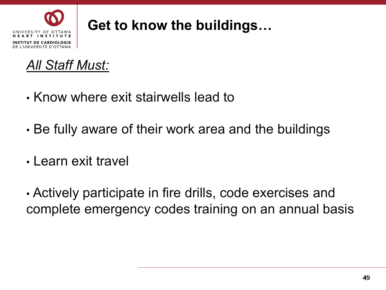



- Know where exit stairwells lead to
- Be fully aware of their work area and the buildings
- Learn exit travel

• Actively participate in fire drills, code exercises and complete emergency codes training on an annual basis Get to know the buildings…<br><u>ust:</u><br>ere exit stairwells lead to<br>ware of their work area and the buildings<br>it travel<br>participate in fire drills, code exercises and<br>emergency codes training on an annual basis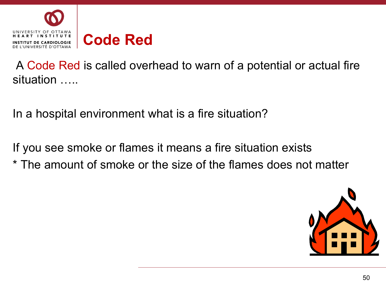

A Code Red is called overhead to warn of a potential or actual fire situation …..

In a hospital environment what is a fire situation?

If you see smoke or flames it means a fire situation exists \* The amount of smoke or the size of the flames does not matter

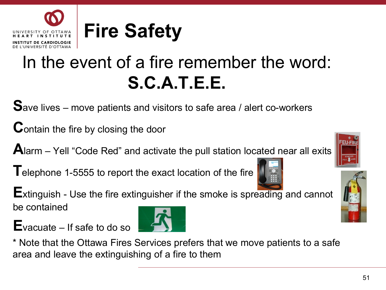## In the event of a fire remember the word: **S.C.A.T.E.E.**

**S**ave lives – move patients and visitors to safe area / alert co-workers

**C**ontain the fire by closing the door

**T DE CARDIOLOGIE** DE L'UNIVERSITÉ D'OTTAWA

**A**larm – Yell "Code Red" and activate the pull station located near all exits

**T**elephone 1-5555 to report the exact location of the fire

**E**xtinguish - Use the fire extinguisher if the smoke is spreading and cannot be contained

**E**vacuate – If safe to do so

\* Note that the Ottawa Fires Services prefers that we move patients to a safe area and leave the extinguishing of a fire to them

# **Fire Safety**





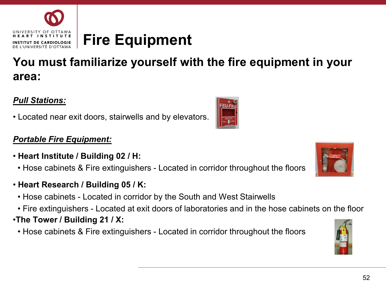

#### **You must familiarize yourself with the fire equipment in your area:**

#### *Pull Stations:*

• Located near exit doors, stairwells and by elevators.

#### *Portable Fire Equipment:*

- **Heart Institute / Building 02 / H:**
	- Hose cabinets & Fire extinguishers Located in corridor throughout the floors
- **Heart Research / Building 05 / K:**
	- Hose cabinets Located in corridor by the South and West Stairwells
	- Fire extinguishers Located at exit doors of laboratories and in the hose cabinets on the floor
- •**The Tower / Building 21 / X:**
	- Hose cabinets & Fire extinguishers Located in corridor throughout the floors







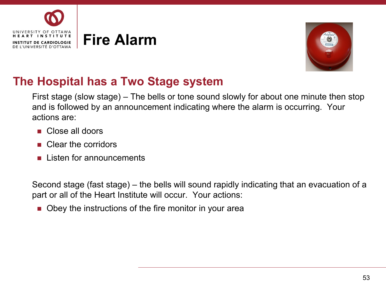



#### **The Hospital has a Two Stage system**

First stage (slow stage) – The bells or tone sound slowly for about one minute then stop and is followed by an announcement indicating where the alarm is occurring. Your actions are:

- **Close all doors**
- **Clear the corridors**
- **Listen for announcements**

Second stage (fast stage) – the bells will sound rapidly indicating that an evacuation of a part or all of the Heart Institute will occur. Your actions:

■ Obey the instructions of the fire monitor in your area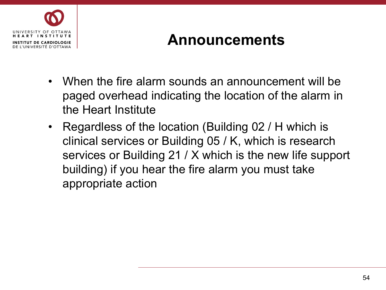

#### **Announcements**

- When the fire alarm sounds an announcement will be paged overhead indicating the location of the alarm in the Heart Institute
- Regardless of the location (Building 02 / H which is clinical services or Building 05 / K, which is research services or Building 21 / X which is the new life support building) if you hear the fire alarm you must take appropriate action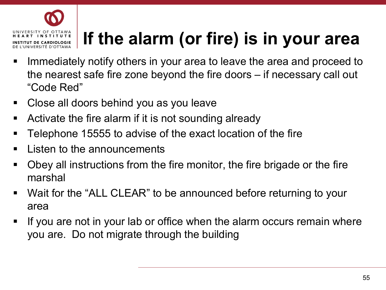

## **If the alarm (or fire) is in your area**

- Immediately notify others in your area to leave the area and proceed to the nearest safe fire zone beyond the fire doors – if necessary call out "Code Red"
- Close all doors behind you as you leave
- Activate the fire alarm if it is not sounding already
- Telephone 15555 to advise of the exact location of the fire
- **EXA** Listen to the announcements
- Obey all instructions from the fire monitor, the fire brigade or the fire marshal
- Wait for the "ALL CLEAR" to be announced before returning to your area
- If you are not in your lab or office when the alarm occurs remain where you are. Do not migrate through the building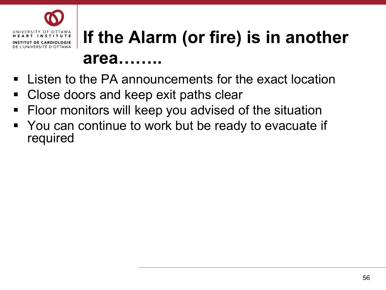

## **If the Alarm (or fire) is in another area……..**

- Listen to the PA announcements for the exact location
- Close doors and keep exit paths clear
- Floor monitors will keep you advised of the situation
- You can continue to work but be ready to evacuate if required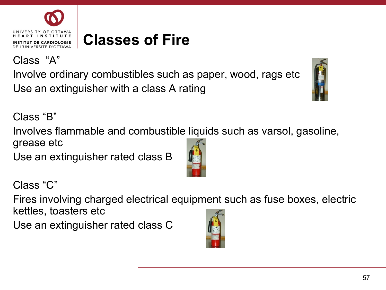57

Class "C"

Fires involving charged electrical equipment such as fuse boxes, electric kettles, toasters etc

Use an extinguisher rated class C

## **Classes of Fire**

Involve ordinary combustibles such as paper, wood, rags etc Use an extinguisher with a class A rating

Class "B"

Class "A"

NIVERSITY OF OTTAWA T INSTITUTE UT DE CARDIOLOGIE DE L'UNIVERSITÉ D'OTTAWA

Involves flammable and combustible liquids such as varsol, gasoline, grease etc

Use an extinguisher rated class B





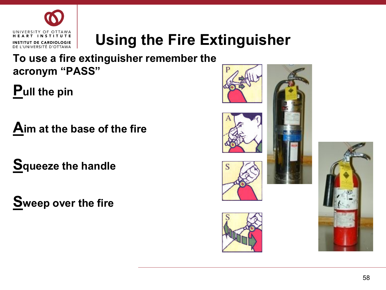

## **Using the Fire Extinguisher**

**To use a fire extinguisher remember the acronym "PASS"**

**Pull the pin**

**Aim at the base of the fire**

**Squeeze the handle**

**Sweep over the fire**







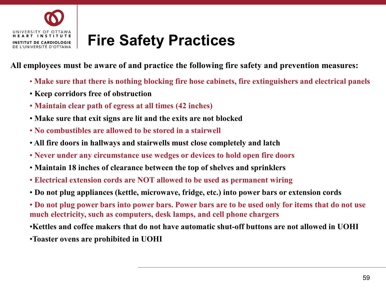

#### **Fire Safety Practices**

**All employees must be aware of and practice the following fire safety and prevention measures:**

- **Make sure that there is nothing blocking fire hose cabinets, fire extinguishers and electrical panels**
- **Keep corridors free of obstruction**
- **Maintain clear path of egress at all times (42 inches)**
- **Make sure that exit signs are lit and the exits are not blocked**
- **No combustibles are allowed to be stored in a stairwell**
- **All fire doors in hallways and stairwells must close completely and latch**
- **Never under any circumstance use wedges or devices to hold open fire doors**
- **Maintain 18 inches of clearance between the top of shelves and sprinklers**
- **Electrical extension cords are NOT allowed to be used as permanent wiring**
- **Do not plug appliances (kettle, microwave, fridge, etc.) into power bars or extension cords**
- **Do not plug power bars into power bars. Power bars are to be used only for items that do not use much electricity, such as computers, desk lamps, and cell phone chargers**
- •**Kettles and coffee makers that do not have automatic shut-off buttons are not allowed in UOHI**
- •**Toaster ovens are prohibited in UOHI**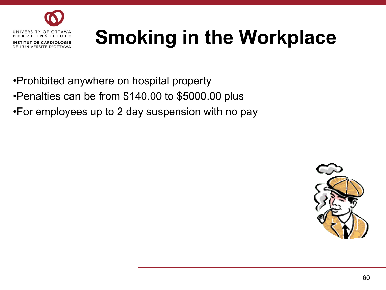

# **Smoking in the Workplace**

- •Prohibited anywhere on hospital property
- •Penalties can be from \$140.00 to \$5000.00 plus
- •For employees up to 2 day suspension with no pay

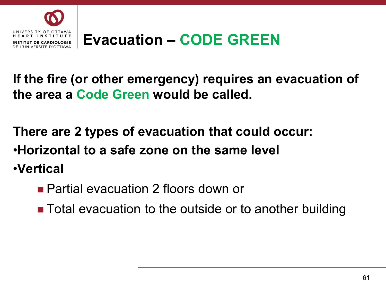

**If the fire (or other emergency) requires an evacuation of the area a Code Green would be called.**

**There are 2 types of evacuation that could occur:** •**Horizontal to a safe zone on the same level** •**Vertical** 

**Partial evacuation 2 floors down or** 

■ Total evacuation to the outside or to another building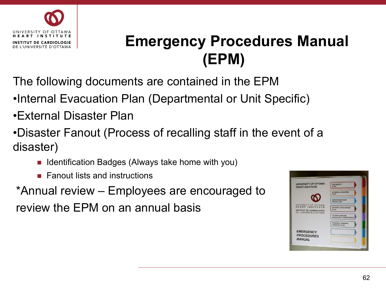

## **Emergency Procedures Manual (EPM)**

The following documents are contained in the EPM

•Internal Evacuation Plan (Departmental or Unit Specific)

- •External Disaster Plan
- •Disaster Fanout (Process of recalling staff in the event of a disaster)
	- I Identification Badges (Always take home with you)
	- $\blacksquare$  Fanout lists and instructions

\*Annual review – Employees are encouraged to review the EPM on an annual basis

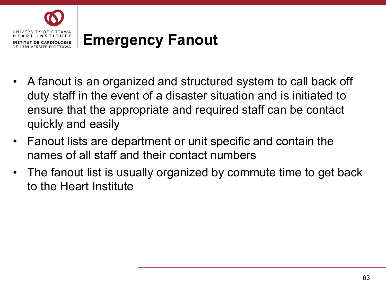

- A fanout is an organized and structured system to call back off duty staff in the event of a disaster situation and is initiated to ensure that the appropriate and required staff can be contact quickly and easily
- Fanout lists are department or unit specific and contain the names of all staff and their contact numbers
- The fanout list is usually organized by commute time to get back to the Heart Institute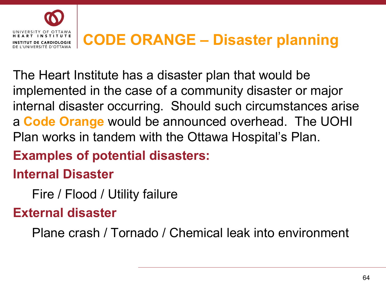

#### **CODE ORANGE – Disaster planning**

The Heart Institute has a disaster plan that would be implemented in the case of a community disaster or major internal disaster occurring. Should such circumstances arise a **Code Orange** would be announced overhead. The UOHI Plan works in tandem with the Ottawa Hospital's Plan.

#### **Examples of potential disasters:**

#### **Internal Disaster**

Fire / Flood / Utility failure

#### **External disaster**

Plane crash / Tornado / Chemical leak into environment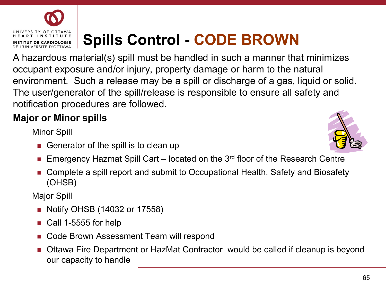## **Spills Control - CODE BROWN**

A hazardous material(s) spill must be handled in such a manner that minimizes occupant exposure and/or injury, property damage or harm to the natural environment. Such a release may be a spill or discharge of a gas, liquid or solid. The user/generator of the spill/release is responsible to ensure all safety and notification procedures are followed.

#### **Major or Minor spills**

Minor Spill

- Generator of the spill is to clean up
- Emergency Hazmat Spill Cart located on the  $3<sup>rd</sup>$  floor of the Research Centre
- Complete a spill report and submit to Occupational Health, Safety and Biosafety (OHSB)

Major Spill

- Notify OHSB (14032 or 17558)
- Call 1-5555 for help
- Code Brown Assessment Team will respond
- Ottawa Fire Department or HazMat Contractor would be called if cleanup is beyond our capacity to handle





**T INSTITUTE TUT DE CARDIOLOGIE** DE L'UNIVERSITÉ D'OTTAWA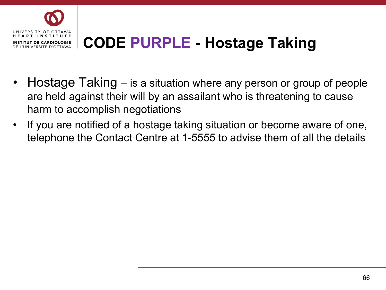

## **CODE PURPLE - Hostage Taking**

- Hostage Taking is a situation where any person or group of people are held against their will by an assailant who is threatening to cause harm to accomplish negotiations
- If you are notified of a hostage taking situation or become aware of one, telephone the Contact Centre at 1-5555 to advise them of all the details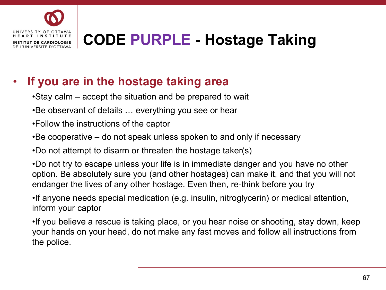

## **CODE PURPLE - Hostage Taking**

#### • **If you are in the hostage taking area**

- •Stay calm accept the situation and be prepared to wait
- •Be observant of details … everything you see or hear
- •Follow the instructions of the captor
- •Be cooperative do not speak unless spoken to and only if necessary

•Do not attempt to disarm or threaten the hostage taker(s)

•Do not try to escape unless your life is in immediate danger and you have no other option. Be absolutely sure you (and other hostages) can make it, and that you will not endanger the lives of any other hostage. Even then, re-think before you try

•If anyone needs special medication (e.g. insulin, nitroglycerin) or medical attention, inform your captor

•If you believe a rescue is taking place, or you hear noise or shooting, stay down, keep your hands on your head, do not make any fast moves and follow all instructions from the police.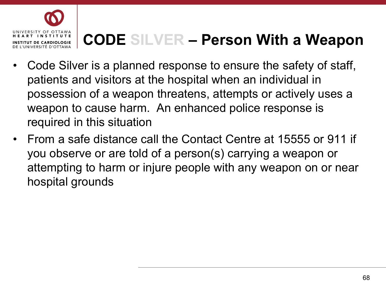

## **CODE SILVER – Person With a Weapon**

- Code Silver is a planned response to ensure the safety of staff, patients and visitors at the hospital when an individual in possession of a weapon threatens, attempts or actively uses a weapon to cause harm. An enhanced police response is required in this situation
- From a safe distance call the Contact Centre at 15555 or 911 if you observe or are told of a person(s) carrying a weapon or attempting to harm or injure people with any weapon on or near hospital grounds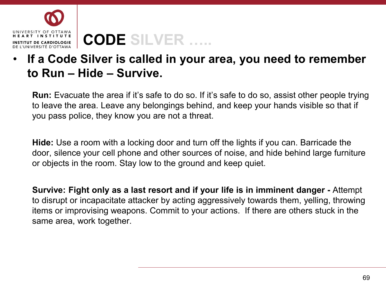

## **CODE SILVER …..**

#### • **If a Code Silver is called in your area, you need to remember to Run – Hide – Survive.**

**Run:** Evacuate the area if it's safe to do so. If it's safe to do so, assist other people trying to leave the area. Leave any belongings behind, and keep your hands visible so that if you pass police, they know you are not a threat.

**Hide:** Use a room with a locking door and turn off the lights if you can. Barricade the door, silence your cell phone and other sources of noise, and hide behind large furniture or objects in the room. Stay low to the ground and keep quiet.

**Survive: Fight only as a last resort and if your life is in imminent danger -** Attempt to disrupt or incapacitate attacker by acting aggressively towards them, yelling, throwing items or improvising weapons. Commit to your actions. If there are others stuck in the same area, work together.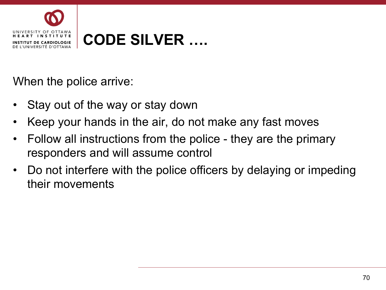

#### **CODE SILVER ….**

When the police arrive:

- Stay out of the way or stay down
- Keep your hands in the air, do not make any fast moves
- Follow all instructions from the police they are the primary responders and will assume control
- Do not interfere with the police officers by delaying or impeding their movements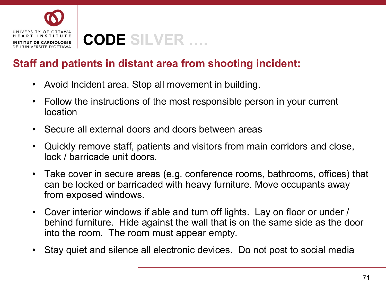

#### **CODE SILVER ….**

#### **Staff and patients in distant area from shooting incident:**

- Avoid Incident area. Stop all movement in building.
- Follow the instructions of the most responsible person in your current location
- Secure all external doors and doors between areas
- Quickly remove staff, patients and visitors from main corridors and close, lock / barricade unit doors.
- Take cover in secure areas (e.g. conference rooms, bathrooms, offices) that can be locked or barricaded with heavy furniture. Move occupants away from exposed windows.
- Cover interior windows if able and turn off lights. Lay on floor or under / behind furniture. Hide against the wall that is on the same side as the door into the room. The room must appear empty.
- Stay quiet and silence all electronic devices. Do not post to social media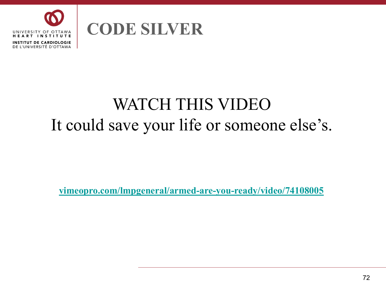

#### **CODE SILVER**

## WATCH THIS VIDEO It could save your life or someone else's.

**[vimeopro.com/lmpgeneral/armed-are-you-ready/video/74108005](http://vimeopro.com/lmpgeneral/armed-are-you-ready/video/74108005)**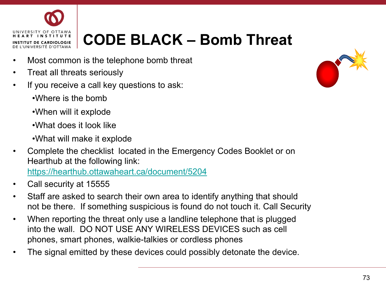

# **CODE BLACK – Bomb Threat**

- Most common is the telephone bomb threat
- Treat all threats seriously
- If you receive a call key questions to ask:
	- •Where is the bomb
	- •When will it explode
	- •What does it look like
	- •What will make it explode
- Complete the checklist located in the Emergency Codes Booklet or on Hearthub at the following link: <https://hearthub.ottawaheart.ca/document/5204>
- Call security at 15555
- Staff are asked to search their own area to identify anything that should not be there. If something suspicious is found do not touch it. Call Security
- When reporting the threat only use a landline telephone that is plugged into the wall. DO NOT USE ANY WIRELESS DEVICES such as cell phones, smart phones, walkie-talkies or cordless phones
- The signal emitted by these devices could possibly detonate the device.

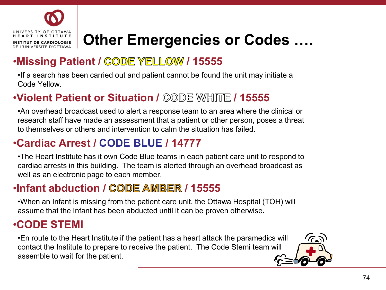

# **Other Emergencies or Codes ….**

#### **•Missing Patient / CODE YELLOW / 15555**

•If a search has been carried out and patient cannot be found the unit may initiate a Code Yellow.

#### •**Violent Patient or Situation / CODE WHITE / 15555**

•An overhead broadcast used to alert a response team to an area where the clinical or research staff have made an assessment that a patient or other person, poses a threat to themselves or others and intervention to calm the situation has failed.

### •**Cardiac Arrest / CODE BLUE / 14777**

•The Heart Institute has it own Code Blue teams in each patient care unit to respond to cardiac arrests in this building. The team is alerted through an overhead broadcast as well as an electronic page to each member.

#### **•Infant abduction / CODE AMBER / 15555**

•When an Infant is missing from the patient care unit, the Ottawa Hospital (TOH) will assume that the Infant has been abducted until it can be proven otherwise**.**

#### •**CODE STEMI**

•En route to the Heart Institute if the patient has a heart attack the paramedics will contact the Institute to prepare to receive the patient. The Code Stemi team will assemble to wait for the patient.

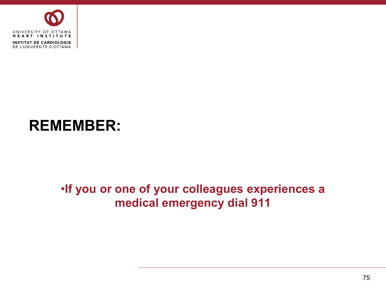

## **REMEMBER:**

#### •**If you or one of your colleagues experiences a medical emergency dial 911**